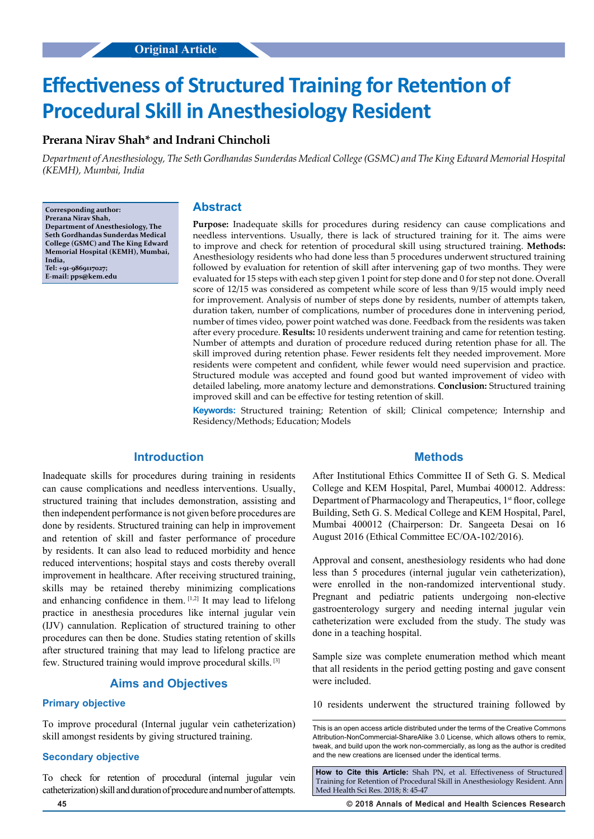# **Effectiveness of Structured Training for Retention of Procedural Skill in Anesthesiology Resident**

# **Prerana Nirav Shah\* and Indrani Chincholi**

*Department of Anesthesiology, The Seth Gordhandas Sunderdas Medical College (GSMC) and The King Edward Memorial Hospital (KEMH), Mumbai, India*

**Corresponding author: Prerana Nirav Shah, Department of Anesthesiology, The Seth Gordhandas Sunderdas Medical College (GSMC) and The King Edward Memorial Hospital (KEMH), Mumbai, India, Tel: +91-9869117027; E-mail: pps@kem.edu**

## **Abstract**

**Purpose:** Inadequate skills for procedures during residency can cause complications and needless interventions. Usually, there is lack of structured training for it. The aims were to improve and check for retention of procedural skill using structured training. **Methods:** Anesthesiology residents who had done less than 5 procedures underwent structured training followed by evaluation for retention of skill after intervening gap of two months. They were evaluated for 15 steps with each step given 1 point for step done and 0 for step not done. Overall score of 12/15 was considered as competent while score of less than 9/15 would imply need for improvement. Analysis of number of steps done by residents, number of attempts taken, duration taken, number of complications, number of procedures done in intervening period, number of times video, power point watched was done. Feedback from the residents was taken after every procedure. **Results:** 10 residents underwent training and came for retention testing. Number of attempts and duration of procedure reduced during retention phase for all. The skill improved during retention phase. Fewer residents felt they needed improvement. More residents were competent and confident, while fewer would need supervision and practice. Structured module was accepted and found good but wanted improvement of video with detailed labeling, more anatomy lecture and demonstrations. **Conclusion:** Structured training improved skill and can be effective for testing retention of skill.

**Keywords:** Structured training; Retention of skill; Clinical competence; Internship and Residency/Methods; Education; Models

# **Introduction**

Inadequate skills for procedures during training in residents can cause complications and needless interventions. Usually, structured training that includes demonstration, assisting and then independent performance is not given before procedures are done by residents. Structured training can help in improvement and retention of skill and faster performance of procedure by residents. It can also lead to reduced morbidity and hence reduced interventions; hospital stays and costs thereby overall improvement in healthcare. After receiving structured training, skills may be retained thereby minimizing complications and enhancing confidence in them. [1,2] It may lead to lifelong practice in anesthesia procedures like internal jugular vein (IJV) cannulation. Replication of structured training to other procedures can then be done. Studies stating retention of skills after structured training that may lead to lifelong practice are few. Structured training would improve procedural skills. [3]

# **Aims and Objectives**

#### **Primary objective**

To improve procedural (Internal jugular vein catheterization) skill amongst residents by giving structured training.

## **Secondary objective**

To check for retention of procedural (internal jugular vein catheterization) skill and duration of procedure and number of attempts.

## **Methods**

After Institutional Ethics Committee II of Seth G. S. Medical College and KEM Hospital, Parel, Mumbai 400012. Address: Department of Pharmacology and Therapeutics, 1<sup>st</sup> floor, college Building, Seth G. S. Medical College and KEM Hospital, Parel, Mumbai 400012 (Chairperson: Dr. Sangeeta Desai on 16 August 2016 (Ethical Committee EC/OA-102/2016).

Approval and consent, anesthesiology residents who had done less than 5 procedures (internal jugular vein catheterization), were enrolled in the non-randomized interventional study. Pregnant and pediatric patients undergoing non-elective gastroenterology surgery and needing internal jugular vein catheterization were excluded from the study. The study was done in a teaching hospital.

Sample size was complete enumeration method which meant that all residents in the period getting posting and gave consent were included.

10 residents underwent the structured training followed by

**How to Cite this Article:** Shah PN, et al. Effectiveness of Structured Training for Retention of Procedural Skill in Anesthesiology Resident. Ann Med Health Sci Res. 2018; 8: 45-47

**45 © 2018 Annals of Medical and Health Sciences Research** 

This is an open access article distributed under the terms of the Creative Commons Attribution-NonCommercial-ShareAlike 3.0 License, which allows others to remix, tweak, and build upon the work non‑commercially, as long as the author is credited and the new creations are licensed under the identical terms.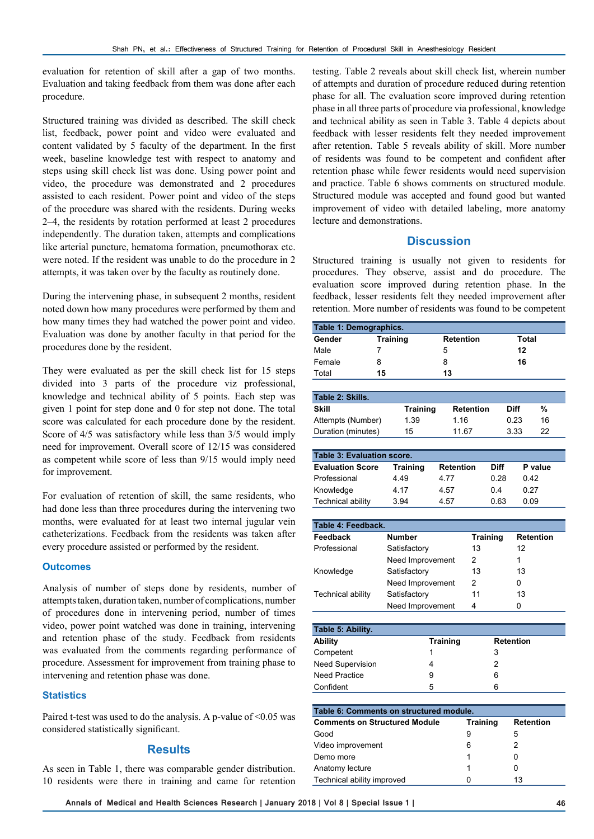evaluation for retention of skill after a gap of two months. Evaluation and taking feedback from them was done after each procedure.

Structured training was divided as described. The skill check list, feedback, power point and video were evaluated and content validated by 5 faculty of the department. In the first week, baseline knowledge test with respect to anatomy and steps using skill check list was done. Using power point and video, the procedure was demonstrated and 2 procedures assisted to each resident. Power point and video of the steps of the procedure was shared with the residents. During weeks 2–4, the residents by rotation performed at least 2 procedures independently. The duration taken, attempts and complications like arterial puncture, hematoma formation, pneumothorax etc. were noted. If the resident was unable to do the procedure in 2 attempts, it was taken over by the faculty as routinely done.

During the intervening phase, in subsequent 2 months, resident noted down how many procedures were performed by them and how many times they had watched the power point and video. Evaluation was done by another faculty in that period for the procedures done by the resident.

They were evaluated as per the skill check list for 15 steps divided into 3 parts of the procedure viz professional, knowledge and technical ability of 5 points. Each step was given 1 point for step done and 0 for step not done. The total score was calculated for each procedure done by the resident. Score of 4/5 was satisfactory while less than 3/5 would imply need for improvement. Overall score of 12/15 was considered as competent while score of less than 9/15 would imply need for improvement.

For evaluation of retention of skill, the same residents, who had done less than three procedures during the intervening two months, were evaluated for at least two internal jugular vein catheterizations. Feedback from the residents was taken after every procedure assisted or performed by the resident.

#### **Outcomes**

Analysis of number of steps done by residents, number of attempts taken, duration taken, number of complications, number of procedures done in intervening period, number of times video, power point watched was done in training, intervening and retention phase of the study. Feedback from residents was evaluated from the comments regarding performance of procedure. Assessment for improvement from training phase to intervening and retention phase was done.

## **Statistics**

Paired t-test was used to do the analysis. A p-value of <0.05 was considered statistically significant.

## **Results**

As seen in Table 1, there was comparable gender distribution. 10 residents were there in training and came for retention testing. Table 2 reveals about skill check list, wherein number of attempts and duration of procedure reduced during retention phase for all. The evaluation score improved during retention phase in all three parts of procedure via professional, knowledge and technical ability as seen in Table 3. Table 4 depicts about feedback with lesser residents felt they needed improvement after retention. Table 5 reveals ability of skill. More number of residents was found to be competent and confident after retention phase while fewer residents would need supervision and practice. Table 6 shows comments on structured module. Structured module was accepted and found good but wanted improvement of video with detailed labeling, more anatomy lecture and demonstrations.

# **Discussion**

Structured training is usually not given to residents for procedures. They observe, assist and do procedure. The evaluation score improved during retention phase. In the feedback, lesser residents felt they needed improvement after retention. More number of residents was found to be competent

| Table 1: Demographics. |                 |                  |       |  |
|------------------------|-----------------|------------------|-------|--|
| Gender                 | <b>Training</b> | <b>Retention</b> | Total |  |
| Male                   |                 | b                | 12    |  |
| Female                 | 8               | 8                | 16    |  |
| Total                  | 15              | 13               |       |  |

| Table 2: Skills.   |                 |                  |      |     |  |
|--------------------|-----------------|------------------|------|-----|--|
| Skill              | <b>Training</b> | <b>Retention</b> | Diff | %   |  |
| Attempts (Number)  | 1.39            | 1.16             | 0.23 | 16  |  |
| Duration (minutes) | 15              | 1167             | 3.33 | 22. |  |

| <b>Table 3: Evaluation score.</b> |                 |                  |      |         |  |
|-----------------------------------|-----------------|------------------|------|---------|--|
| <b>Evaluation Score</b>           | <b>Training</b> | <b>Retention</b> | Diff | P value |  |
| Professional                      | 4.49            | 4 77             | 0.28 | 0.42    |  |
| Knowledge                         | 4.17            | 4.57             | 04   | 0.27    |  |
| Technical ability                 | 3.94            | 4.57             | 0.63 | 0 Q.    |  |

| Table 4: Feedback.       |                  |                 |                  |
|--------------------------|------------------|-----------------|------------------|
| Feedback                 | <b>Number</b>    | <b>Training</b> | <b>Retention</b> |
| Professional             | Satisfactory     | 13              | 12               |
|                          | Need Improvement | 2               |                  |
| Knowledge                | Satisfactory     | 13              | 13               |
|                          | Need Improvement | 2               | O                |
| <b>Technical ability</b> | Satisfactory     | 11              | 13               |
|                          | Need Improvement | 4               |                  |

| Table 5: Ability.       |          |                  |  |  |
|-------------------------|----------|------------------|--|--|
| <b>Ability</b>          | Training | <b>Retention</b> |  |  |
| Competent               |          | 3                |  |  |
| <b>Need Supervision</b> |          |                  |  |  |
| <b>Need Practice</b>    | 9        | 6                |  |  |
| Confident               | 5        | 6                |  |  |

| Table 6: Comments on structured module. |                 |                  |  |  |
|-----------------------------------------|-----------------|------------------|--|--|
| <b>Comments on Structured Module</b>    | <b>Training</b> | <b>Retention</b> |  |  |
| Good                                    | 9               | 5                |  |  |
| Video improvement                       | 6               | 2                |  |  |
| Demo more                               | 1               |                  |  |  |
| Anatomy lecture                         |                 |                  |  |  |
| Technical ability improved              | U               | 13               |  |  |